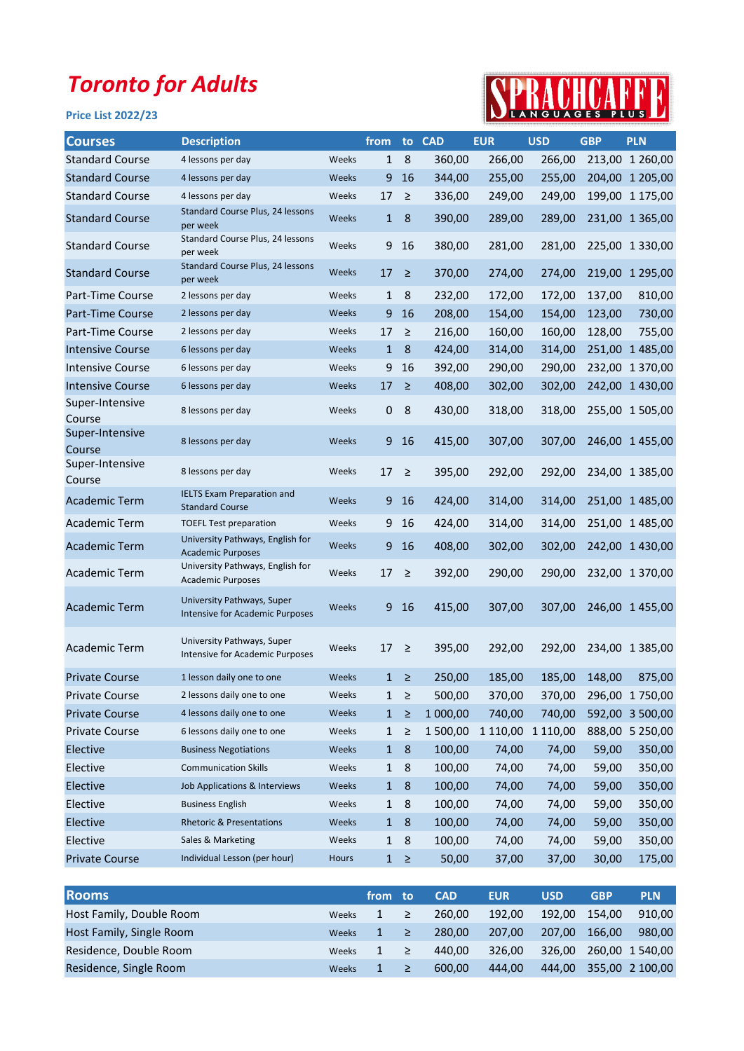## Toronto for Adults

## Price List 2022/23



| <b>Courses</b>            | <b>Description</b>                                                   |       | from         |                  | to CAD   | <b>EUR</b> | <b>USD</b>        | <b>GBP</b> | <b>PLN</b>      |
|---------------------------|----------------------------------------------------------------------|-------|--------------|------------------|----------|------------|-------------------|------------|-----------------|
| <b>Standard Course</b>    | 4 lessons per day                                                    | Weeks | 1            | 8                | 360,00   | 266,00     | 266,00            |            | 213,00 1 260,00 |
| <b>Standard Course</b>    | 4 lessons per day                                                    | Weeks | 9            | 16               | 344,00   | 255,00     | 255,00            |            | 204,00 1 205,00 |
| <b>Standard Course</b>    | 4 lessons per day                                                    | Weeks | 17           | $\geq$           | 336,00   | 249,00     | 249,00            |            | 199,00 1 175,00 |
| <b>Standard Course</b>    | Standard Course Plus, 24 lessons<br>per week                         | Weeks | $\mathbf{1}$ | 8                | 390,00   | 289,00     | 289,00            |            | 231,00 1 365,00 |
| <b>Standard Course</b>    | Standard Course Plus, 24 lessons<br>per week                         | Weeks | 9            | 16               | 380,00   | 281,00     | 281,00            |            | 225,00 1 330,00 |
| <b>Standard Course</b>    | Standard Course Plus, 24 lessons<br>per week                         | Weeks | 17           | ≥                | 370,00   | 274,00     | 274,00            |            | 219,00 1 295,00 |
| Part-Time Course          | 2 lessons per day                                                    | Weeks | $\mathbf{1}$ | 8                | 232,00   | 172,00     | 172,00            | 137,00     | 810,00          |
| Part-Time Course          | 2 lessons per day                                                    | Weeks | 9            | 16               | 208,00   | 154,00     | 154,00            | 123,00     | 730,00          |
| Part-Time Course          | 2 lessons per day                                                    | Weeks | 17           | $\geq$           | 216,00   | 160,00     | 160,00            | 128,00     | 755,00          |
| <b>Intensive Course</b>   | 6 lessons per day                                                    | Weeks | $\mathbf{1}$ | 8                | 424,00   | 314,00     | 314,00            |            | 251,00 1 485,00 |
| <b>Intensive Course</b>   | 6 lessons per day                                                    | Weeks | 9            | 16               | 392,00   | 290,00     | 290,00            |            | 232,00 1 370,00 |
| <b>Intensive Course</b>   | 6 lessons per day                                                    | Weeks | 17           | $\geq$           | 408,00   | 302,00     | 302,00            |            | 242,00 1 430,00 |
| Super-Intensive<br>Course | 8 lessons per day                                                    | Weeks | 0            | 8                | 430,00   | 318,00     | 318,00            |            | 255,00 1 505,00 |
| Super-Intensive<br>Course | 8 lessons per day                                                    | Weeks | 9            | 16               | 415,00   | 307,00     | 307,00            |            | 246,00 1 455,00 |
| Super-Intensive<br>Course | 8 lessons per day                                                    | Weeks | 17           | $\geq$           | 395,00   | 292,00     | 292,00            |            | 234,00 1 385,00 |
| <b>Academic Term</b>      | <b>IELTS Exam Preparation and</b><br><b>Standard Course</b>          | Weeks | 9            | 16               | 424,00   | 314,00     | 314,00            |            | 251,00 1 485,00 |
| Academic Term             | <b>TOEFL Test preparation</b>                                        | Weeks | 9            | 16               | 424,00   | 314,00     | 314,00            |            | 251,00 1 485,00 |
| <b>Academic Term</b>      | University Pathways, English for<br><b>Academic Purposes</b>         | Weeks | 9            | 16               | 408,00   | 302,00     | 302,00            |            | 242,00 1 430,00 |
| Academic Term             | University Pathways, English for<br><b>Academic Purposes</b>         | Weeks | 17           | $\geq$           | 392,00   | 290,00     | 290,00            |            | 232,00 1 370,00 |
| <b>Academic Term</b>      | University Pathways, Super<br><b>Intensive for Academic Purposes</b> | Weeks | 9            | 16               | 415,00   | 307,00     | 307,00            |            | 246,00 1 455,00 |
| Academic Term             | University Pathways, Super<br><b>Intensive for Academic Purposes</b> | Weeks | 17           | $\geq$           | 395,00   | 292,00     | 292,00            |            | 234,00 1 385,00 |
| <b>Private Course</b>     | 1 lesson daily one to one                                            | Weeks | 1            | ≥                | 250,00   | 185,00     | 185,00            | 148,00     | 875,00          |
| <b>Private Course</b>     | 2 lessons daily one to one                                           | Weeks | 1            | $\geq$           | 500,00   | 370,00     | 370,00            |            | 296,00 1 750,00 |
| <b>Private Course</b>     | 4 lessons daily one to one                                           | Weeks | 1            | $\geq$           | 1 000,00 | 740,00     | 740,00            |            | 592,00 3 500,00 |
| <b>Private Course</b>     | 6 lessons daily one to one                                           | Weeks | $\mathbf{1}$ | ≥                | 1 500,00 |            | 1 110,00 1 110,00 |            | 888,00 5 250,00 |
| Elective                  | <b>Business Negotiations</b>                                         | Weeks | 1            | 8                | 100,00   | 74,00      | 74,00             | 59,00      | 350,00          |
| Elective                  | <b>Communication Skills</b>                                          | Weeks | $\mathbf{1}$ | 8                | 100,00   | 74,00      | 74,00             | 59,00      | 350,00          |
| Elective                  | Job Applications & Interviews                                        | Weeks | 1            | 8                | 100,00   | 74,00      | 74,00             | 59,00      | 350,00          |
| Elective                  | <b>Business English</b>                                              | Weeks | $\mathbf{1}$ | 8                | 100,00   | 74,00      | 74,00             | 59,00      | 350,00          |
| Elective                  | <b>Rhetoric &amp; Presentations</b>                                  | Weeks | $\mathbf{1}$ | $\boldsymbol{8}$ | 100,00   | 74,00      | 74,00             | 59,00      | 350,00          |
| Elective                  | Sales & Marketing                                                    | Weeks | $\mathbf{1}$ | 8                | 100,00   | 74,00      | 74,00             | 59,00      | 350,00          |
| <b>Private Course</b>     | Individual Lesson (per hour)                                         | Hours |              | $1 \ge$          | 50,00    | 37,00      | 37,00             | 30,00      | 175,00          |

| <b>Rooms</b>             |              | from to |    | <b>CAD</b> | <b>EUR</b> | <b>USD</b> | <b>GBP</b>      | <b>PLN</b> |
|--------------------------|--------------|---------|----|------------|------------|------------|-----------------|------------|
| Host Family, Double Room | Weeks        |         | ≥  | 260.00     | 192.00     | 192.00     | 154.00          | 910.00     |
| Host Family, Single Room | <b>Weeks</b> |         | ≥∶ | 280.00     | 207.00     | 207.00     | 166.00          | 980.00     |
| Residence, Double Room   | <b>Weeks</b> |         | ≥  | 440.00     | 326.00     | 326,00     | 260,00 1 540,00 |            |
| Residence, Single Room   | <b>Weeks</b> |         |    | 600.00     | 444.00     | 444,00     | 355,00 2 100,00 |            |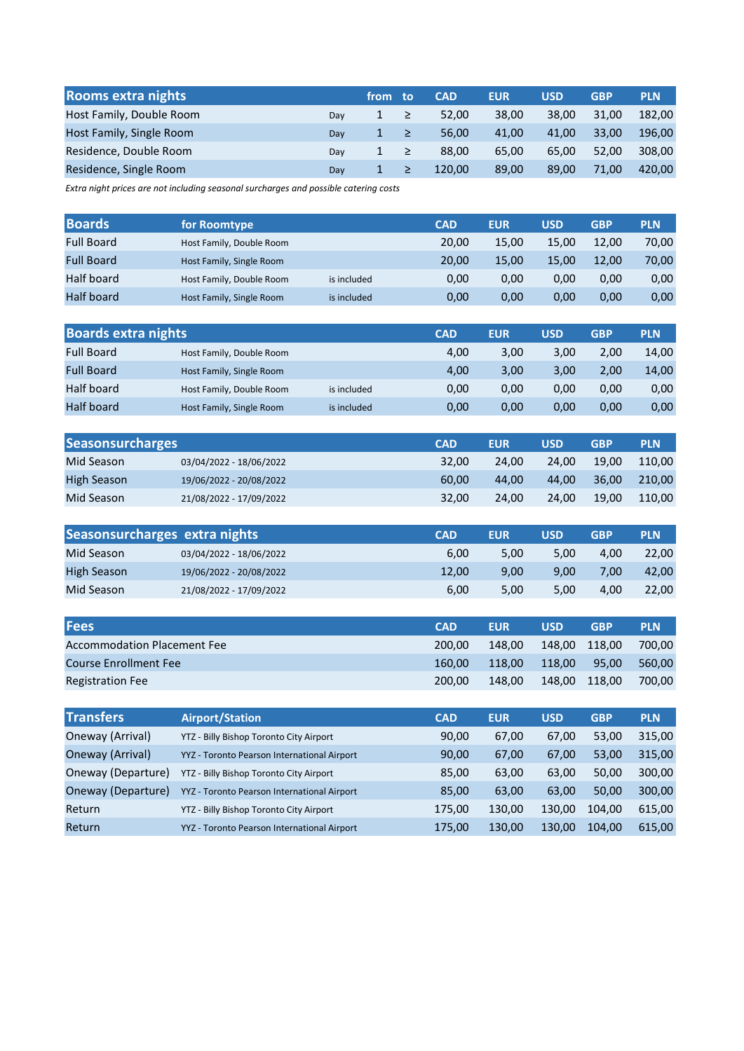| <b>Rooms extra nights</b> |     | from to |        | <b>CAD</b> | <b>EUR</b> | <b>USD</b> | <b>GBP</b> | <b>PLN</b> |
|---------------------------|-----|---------|--------|------------|------------|------------|------------|------------|
| Host Family, Double Room  | Dav |         | $\geq$ | 52.00      | 38.00      | 38.00      | 31.00      | 182.00     |
| Host Family, Single Room  | Dav |         | $\geq$ | 56.00      | 41.00      | 41.00      | 33.00      | 196.00     |
| Residence, Double Room    | Dav |         | $\geq$ | 88.00      | 65.00      | 65.00      | 52.00      | 308.00     |
| Residence, Single Room    | Dav |         |        | 120.00     | 89.00      | 89.00      | 71.00      | 420.00     |

Extra night prices are not including seasonal surcharges and possible catering costs

| <b>Boards</b>     | for Roomtype             |             | <b>CAD</b> | <b>EUR</b> | USD   | <b>GBP</b> | <b>PLN</b> |
|-------------------|--------------------------|-------------|------------|------------|-------|------------|------------|
| <b>Full Board</b> | Host Family, Double Room |             | 20,00      | 15.00      | 15.00 | 12.00      | 70,00      |
| <b>Full Board</b> | Host Family, Single Room |             | 20,00      | 15.00      | 15.00 | 12.00      | 70,00      |
| Half board        | Host Family, Double Room | is included | 0,00       | 0,00       | 0.00  | 0.00       | 0,00       |
| <b>Half board</b> | Host Family, Single Room | is included | 0,00       | 0.00       | 0,00  | 0.00       | 0,00       |

| <b>Boards extra nights</b> |                          |             | <b>CAD</b> | <b>EUR</b> | USD  | <b>GBP</b> | <b>PLN</b> |
|----------------------------|--------------------------|-------------|------------|------------|------|------------|------------|
| <b>Full Board</b>          | Host Family, Double Room |             | 4.00       | 3,00       | 3.00 | 2.00       | 14,00      |
| <b>Full Board</b>          | Host Family, Single Room |             | 4,00       | 3,00       | 3,00 | 2.00       | 14,00      |
| Half board                 | Host Family, Double Room | is included | 0,00       | 0.00       | 0,00 | 0.00       | 0,00       |
| <b>Half board</b>          | Host Family, Single Room | is included | 0,00       | 0.00       | 0,00 | 0.00       | 0,00       |

| <b>Seasonsurcharges</b> |                         | <b>CAD</b> | <b>EUR</b> | <b>USD</b> | <b>GBP</b> | <b>PLN</b> |
|-------------------------|-------------------------|------------|------------|------------|------------|------------|
| Mid Season              | 03/04/2022 - 18/06/2022 | 32.00      | 24.00      | 24.00      | 19.00      | 110.00     |
| High Season             | 19/06/2022 - 20/08/2022 | 60.00      | 44.00      | 44.00      | 36.00      | 210.00     |
| Mid Season              | 21/08/2022 - 17/09/2022 | 32.00      | 24.00      | 24.00      | 19.00      | 110.00     |

| Seasonsurcharges extra nights |                         | <b>CAD</b> | <b>EUR</b> | USD  | <b>GBP</b> | <b>PLN</b> |
|-------------------------------|-------------------------|------------|------------|------|------------|------------|
| Mid Season                    | 03/04/2022 - 18/06/2022 | 6.00       | 5.00       | 5.00 | 4.00       | 22.00      |
| High Season                   | 19/06/2022 - 20/08/2022 | 12.00      | 9.00       | 9.00 | 7.00       | 42.00      |
| Mid Season                    | 21/08/2022 - 17/09/2022 | 6,00       | 5.00       | 5.00 | 4.00       | 22.00      |

| <b>Fees</b>                        | <b>CAD</b> | <b>EUR</b> | <b>USD</b> | <b>GBP</b> | <b>PLN</b> |
|------------------------------------|------------|------------|------------|------------|------------|
| <b>Accommodation Placement Fee</b> | 200.00     | 148.00     | 148.00     | 118.00     | 700.00     |
| <b>Course Enrollment Fee</b>       | 160.00     | 118.00     | 118.00     | 95.00      | 560.00     |
| <b>Registration Fee</b>            | 200.00     | 148.00     | 148.00     | 118.00     | 700.00     |

| <b>Transfers</b>   | <b>Airport/Station</b>                      | <b>CAD</b> | <b>EUR</b> | <b>USD</b> | <b>GBP</b> | <b>PLN</b> |
|--------------------|---------------------------------------------|------------|------------|------------|------------|------------|
| Oneway (Arrival)   | YTZ - Billy Bishop Toronto City Airport     | 90,00      | 67,00      | 67.00      | 53,00      | 315,00     |
| Oneway (Arrival)   | YYZ - Toronto Pearson International Airport | 90,00      | 67,00      | 67.00      | 53,00      | 315.00     |
| Oneway (Departure) | YTZ - Billy Bishop Toronto City Airport     | 85,00      | 63,00      | 63,00      | 50,00      | 300,00     |
| Oneway (Departure) | YYZ - Toronto Pearson International Airport | 85,00      | 63,00      | 63.00      | 50,00      | 300,00     |
| Return             | YTZ - Billy Bishop Toronto City Airport     | 175,00     | 130,00     | 130,00     | 104,00     | 615,00     |
| Return             | YYZ - Toronto Pearson International Airport | 175,00     | 130,00     | 130,00     | 104.00     | 615,00     |